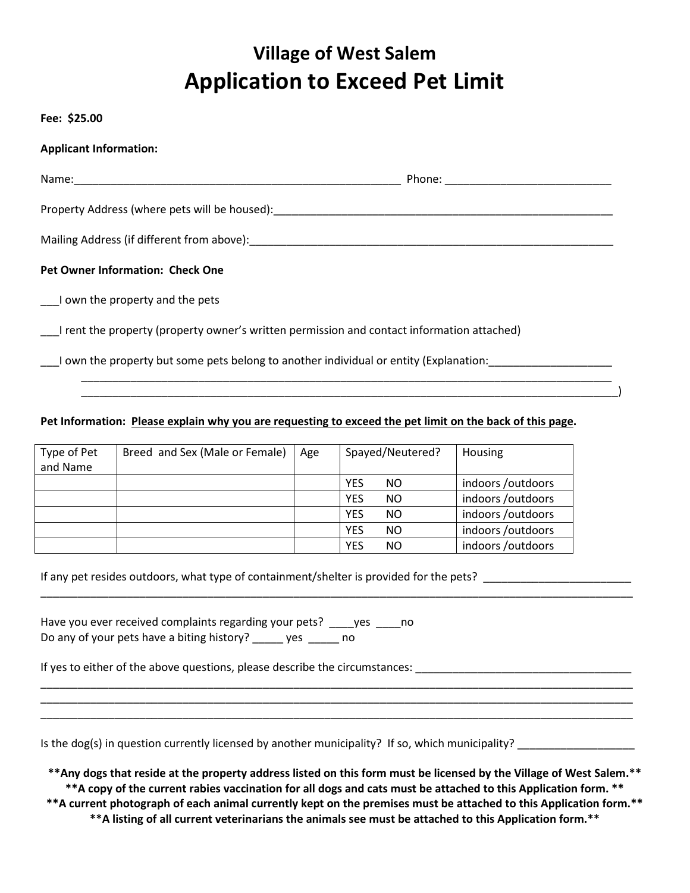## **Village of West Salem Application to Exceed Pet Limit**

**Fee: \$25.00**

| <b>Applicant Information:</b>                                                                                  |  |
|----------------------------------------------------------------------------------------------------------------|--|
| Name: 2008 2009 2010 2020 2020 2021 2022 2023 2024 2022 2022 2023 2024 2022 2023 2024 2022 2023 2024 2022 2023 |  |
| Property Address (where pets will be housed):<br>Froperty Address (where pets will be housed):                 |  |
|                                                                                                                |  |
| <b>Pet Owner Information: Check One</b>                                                                        |  |
| I own the property and the pets                                                                                |  |
| I rent the property (property owner's written permission and contact information attached)                     |  |
| I own the property but some pets belong to another individual or entity (Explanation:                          |  |
|                                                                                                                |  |

## **Pet Information: Please explain why you are requesting to exceed the pet limit on the back of this page.**

| Type of Pet<br>and Name | Breed and Sex (Male or Female) | Age |            | Spayed/Neutered? | Housing          |
|-------------------------|--------------------------------|-----|------------|------------------|------------------|
|                         |                                |     | YES        | NO.              | indoors/outdoors |
|                         |                                |     | <b>YES</b> | NO.              | indoors/outdoors |
|                         |                                |     | <b>YES</b> | NO.              | indoors/outdoors |
|                         |                                |     | <b>YES</b> | NO.              | indoors/outdoors |
|                         |                                |     | <b>YES</b> | NO.              | indoors/outdoors |

If any pet resides outdoors, what type of containment/shelter is provided for the pets? \_\_\_\_\_\_\_\_\_\_\_\_\_\_\_\_\_\_\_\_\_\_

| Have you ever received complaints regarding your pets? |     | <b>Ves</b> | no |
|--------------------------------------------------------|-----|------------|----|
| Do any of your pets have a biting history?             | ves | no         |    |

If yes to either of the above questions, please describe the circumstances: \_\_\_\_\_\_\_\_\_\_\_\_\_\_\_\_\_\_\_\_\_\_\_\_\_\_\_\_\_\_\_\_\_\_

Is the dog(s) in question currently licensed by another municipality? If so, which municipality? \_\_\_\_\_\_\_\_\_\_\_\_\_

**\*\*Any dogs that reside at the property address listed on this form must be licensed by the Village of West Salem.\*\* \*\*A copy of the current rabies vaccination for all dogs and cats must be attached to this Application form. \*\* \*\*A current photograph of each animal currently kept on the premises must be attached to this Application form.\*\***

\_\_\_\_\_\_\_\_\_\_\_\_\_\_\_\_\_\_\_\_\_\_\_\_\_\_\_\_\_\_\_\_\_\_\_\_\_\_\_\_\_\_\_\_\_\_\_\_\_\_\_\_\_\_\_\_\_\_\_\_\_\_\_\_\_\_\_\_\_\_\_\_\_\_\_\_\_\_\_\_\_\_\_\_\_\_\_\_\_\_\_\_\_\_\_\_

\_\_\_\_\_\_\_\_\_\_\_\_\_\_\_\_\_\_\_\_\_\_\_\_\_\_\_\_\_\_\_\_\_\_\_\_\_\_\_\_\_\_\_\_\_\_\_\_\_\_\_\_\_\_\_\_\_\_\_\_\_\_\_\_\_\_\_\_\_\_\_\_\_\_\_\_\_\_\_\_\_\_\_\_\_\_\_\_\_\_\_\_\_\_\_\_ \_\_\_\_\_\_\_\_\_\_\_\_\_\_\_\_\_\_\_\_\_\_\_\_\_\_\_\_\_\_\_\_\_\_\_\_\_\_\_\_\_\_\_\_\_\_\_\_\_\_\_\_\_\_\_\_\_\_\_\_\_\_\_\_\_\_\_\_\_\_\_\_\_\_\_\_\_\_\_\_\_\_\_\_\_\_\_\_\_\_\_\_\_\_\_\_

**\*\*A listing of all current veterinarians the animals see must be attached to this Application form.\*\***